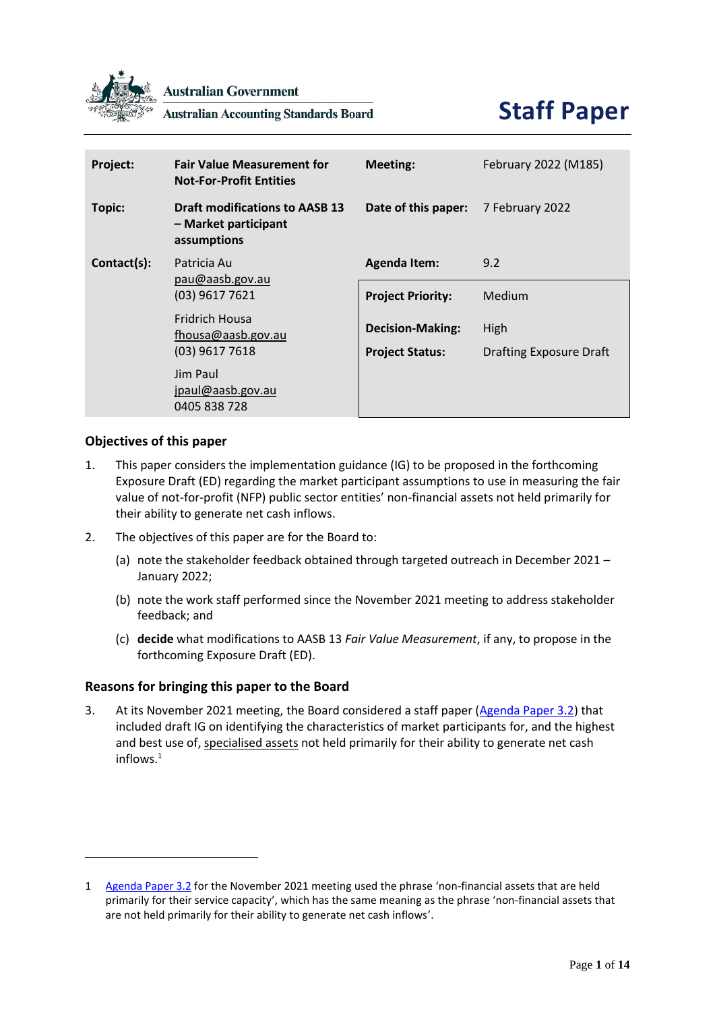

**Australian Government** 

**Australian Accounting Standards Board** 

# **Staff Paper**

| Project:    | <b>Fair Value Measurement for</b><br><b>Not-For-Profit Entities</b>          | <b>Meeting:</b>                                   | February 2022 (M185)                   |
|-------------|------------------------------------------------------------------------------|---------------------------------------------------|----------------------------------------|
| Topic:      | <b>Draft modifications to AASB 13</b><br>– Market participant<br>assumptions | Date of this paper:                               | 7 February 2022                        |
| Contact(s): | Patricia Au<br>pau@aasb.gov.au<br>(03) 9617 7621                             | <b>Agenda Item:</b>                               | 9.2                                    |
|             |                                                                              | <b>Project Priority:</b>                          | Medium                                 |
|             | <b>Fridrich Housa</b><br>fhousa@aasb.gov.au<br>$(03)$ 9617 7618              | <b>Decision-Making:</b><br><b>Project Status:</b> | High<br><b>Drafting Exposure Draft</b> |
|             | Jim Paul<br>jpaul@aasb.gov.au<br>0405 838 728                                |                                                   |                                        |

## **Objectives of this paper**

- 1. This paper considers the implementation guidance (IG) to be proposed in the forthcoming Exposure Draft (ED) regarding the market participant assumptions to use in measuring the fair value of not-for-profit (NFP) public sector entities' non-financial assets not held primarily for their ability to generate net cash inflows.
- 2. The objectives of this paper are for the Board to:
	- (a) note the stakeholder feedback obtained through targeted outreach in December 2021 January 2022;
	- (b) note the work staff performed since the November 2021 meeting to address stakeholder feedback; and
	- (c) **decide** what modifications to AASB 13 *Fair Value Measurement*, if any, to propose in the forthcoming Exposure Draft (ED).

### **Reasons for bringing this paper to the Board**

<span id="page-0-0"></span>3. At its November 2021 meeting, the Board considered a staff paper [\(Agenda Paper 3.2\)](https://www.aasb.gov.au/media/nqnck1vl/3-2_sp_fvm_draftmodifications_pp.pdf) that included draft IG on identifying the characteristics of market participants for, and the highest and best use of, specialised assets not held primarily for their ability to generate net cash inflows. 1

<sup>1</sup> [Agenda Paper 3.2](https://www.aasb.gov.au/media/nqnck1vl/3-2_sp_fvm_draftmodifications_pp.pdf) for the November 2021 meeting used the phrase 'non-financial assets that are held primarily for their service capacity', which has the same meaning as the phrase 'non-financial assets that are not held primarily for their ability to generate net cash inflows'.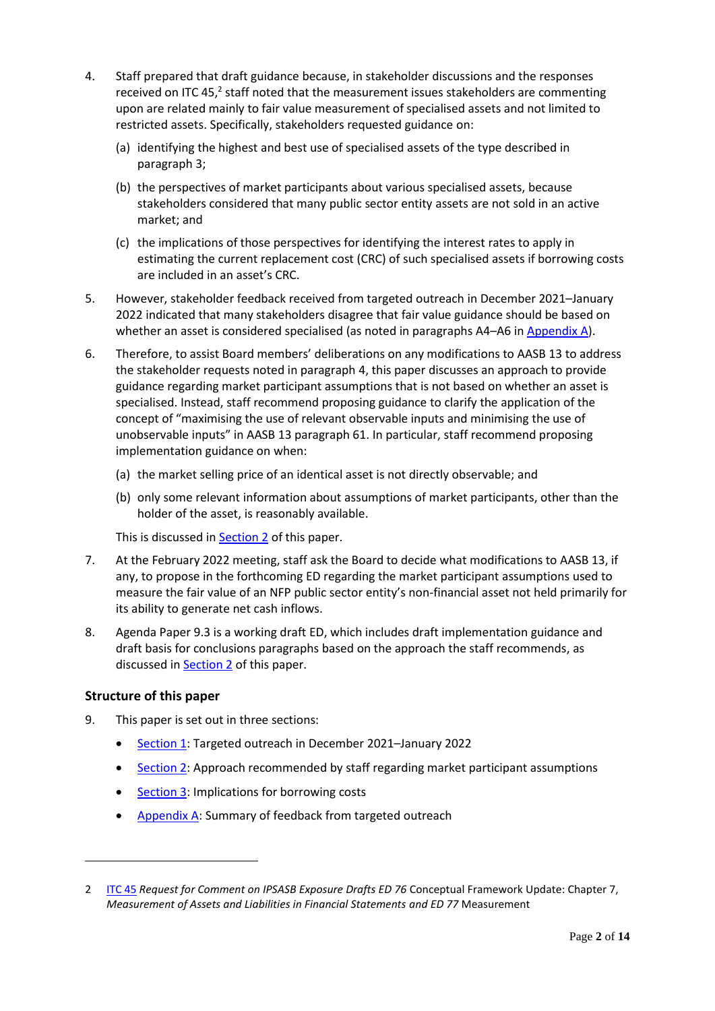- <span id="page-1-0"></span>4. Staff prepared that draft guidance because, in stakeholder discussions and the responses received on ITC 45,<sup>2</sup> staff noted that the measurement issues stakeholders are commenting upon are related mainly to fair value measurement of specialised assets and not limited to restricted assets. Specifically, stakeholders requested guidance on:
	- (a) identifying the highest and best use of specialised assets of the type described in paragraph [3;](#page-0-0)
	- (b) the perspectives of market participants about various specialised assets, because stakeholders considered that many public sector entity assets are not sold in an active market; and
	- (c) the implications of those perspectives for identifying the interest rates to apply in estimating the current replacement cost (CRC) of such specialised assets if borrowing costs are included in an asset's CRC.
- 5. However, stakeholder feedback received from targeted outreach in December 2021–January 2022 indicated that many stakeholders disagree that fair value guidance should be based on whether an asset is considered specialised (as noted in paragraphs [A4](#page-8-0)–[A6](#page-8-1) i[n Appendix A\)](#page-8-2).
- 6. Therefore, to assist Board members' deliberations on any modifications to AASB 13 to address the stakeholder requests noted in paragraph [4,](#page-1-0) this paper discusses an approach to provide guidance regarding market participant assumptions that is not based on whether an asset is specialised. Instead, staff recommend proposing guidance to clarify the application of the concept of "maximising the use of relevant observable inputs and minimising the use of unobservable inputs" in AASB 13 paragraph 61. In particular, staff recommend proposing implementation guidance on when:
	- (a) the market selling price of an identical asset is not directly observable; and
	- (b) only some relevant information about assumptions of market participants, other than the holder of the asset, is reasonably available.

This is discussed in Section 2 of this paper.

- 7. At the February 2022 meeting, staff ask the Board to decide what modifications to AASB 13, if any, to propose in the forthcoming ED regarding the market participant assumptions used to measure the fair value of an NFP public sector entity's non-financial asset not held primarily for its ability to generate net cash inflows.
- 8. Agenda Paper 9.3 is a working draft ED, which includes draft implementation guidance and draft basis for conclusions paragraphs based on the approach the staff recommends, as discussed in **Section 2** of this paper.

## **Structure of this paper**

- 9. This paper is set out in three sections:
	- [Section 1:](#page-2-0) Targeted outreach in December 2021–January 2022
	- Section 2: Approach recommended by staff regarding market participant assumptions
	- [Section 3:](#page-6-0) Implications for borrowing costs
	- [Appendix A:](#page-8-2) Summary of feedback from targeted outreach

<sup>2</sup> [ITC 45](https://www.aasb.gov.au/admin/file/content105/c9/ITC45_IPSASB_05_21.pdf) *Request for Comment on IPSASB Exposure Drafts ED 76* Conceptual Framework Update: Chapter 7, *Measurement of Assets and Liabilities in Financial Statements and ED 77* Measurement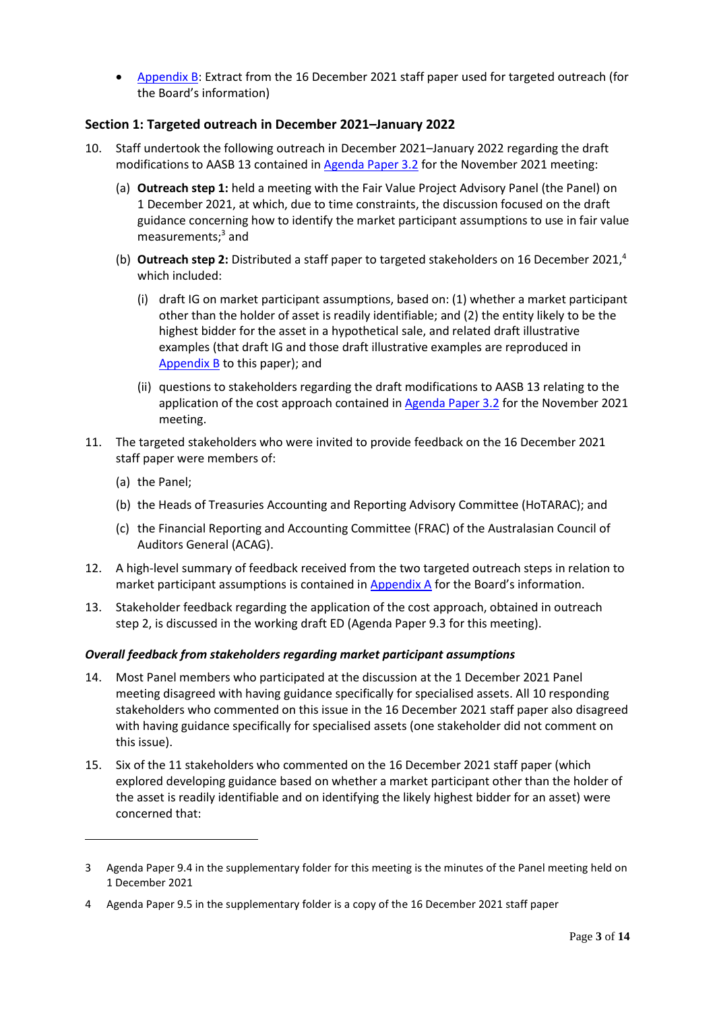• [Appendix](#page-11-0) B: Extract from the 16 December 2021 staff paper used for targeted outreach (for the Board's information)

## <span id="page-2-0"></span>**Section 1: Targeted outreach in December 2021–January 2022**

- <span id="page-2-3"></span>10. Staff undertook the following outreach in December 2021–January 2022 regarding the draft modifications to AASB 13 contained i[n Agenda Paper 3.2](https://www.aasb.gov.au/media/nqnck1vl/3-2_sp_fvm_draftmodifications_pp.pdf) for the November 2021 meeting:
	- (a) **Outreach step 1:** held a meeting with the Fair Value Project Advisory Panel (the Panel) on 1 December 2021, at which, due to time constraints, the discussion focused on the draft guidance concerning how to identify the market participant assumptions to use in fair value measurements; <sup>3</sup> and
	- (b) **Outreach step 2:** Distributed a staff paper to targeted stakeholders on 16 December 2021, 4 which included:
		- (i) draft IG on market participant assumptions, based on: (1) whether a market participant other than the holder of asset is readily identifiable; and (2) the entity likely to be the highest bidder for the asset in a hypothetical sale, and related draft illustrative examples (that draft IG and those draft illustrative examples are reproduced in [Appendix](#page-11-0) B to this paper); and
		- (ii) questions to stakeholders regarding the draft modifications to AASB 13 relating to the application of the cost approach contained in [Agenda Paper 3.2](https://www.aasb.gov.au/media/nqnck1vl/3-2_sp_fvm_draftmodifications_pp.pdf) for the November 2021 meeting.
- <span id="page-2-4"></span>11. The targeted stakeholders who were invited to provide feedback on the 16 December 2021 staff paper were members of:
	- (a) the Panel;
	- (b) the Heads of Treasuries Accounting and Reporting Advisory Committee (HoTARAC); and
	- (c) the Financial Reporting and Accounting Committee (FRAC) of the Australasian Council of Auditors General (ACAG).
- 12. A high-level summary of feedback received from the two targeted outreach steps in relation to market participant assumptions is contained in [Appendix A](#page-8-2) for the Board's information.
- 13. Stakeholder feedback regarding the application of the cost approach, obtained in outreach step 2, is discussed in the working draft ED (Agenda Paper 9.3 for this meeting).

### *Overall feedback from stakeholders regarding market participant assumptions*

- <span id="page-2-1"></span>14. Most Panel members who participated at the discussion at the 1 December 2021 Panel meeting disagreed with having guidance specifically for specialised assets. All 10 responding stakeholders who commented on this issue in the 16 December 2021 staff paper also disagreed with having guidance specifically for specialised assets (one stakeholder did not comment on this issue).
- <span id="page-2-2"></span>15. Six of the 11 stakeholders who commented on the 16 December 2021 staff paper (which explored developing guidance based on whether a market participant other than the holder of the asset is readily identifiable and on identifying the likely highest bidder for an asset) were concerned that:

<sup>3</sup> Agenda Paper 9.4 in the supplementary folder for this meeting is the minutes of the Panel meeting held on 1 December 2021

<sup>4</sup> Agenda Paper 9.5 in the supplementary folder is a copy of the 16 December 2021 staff paper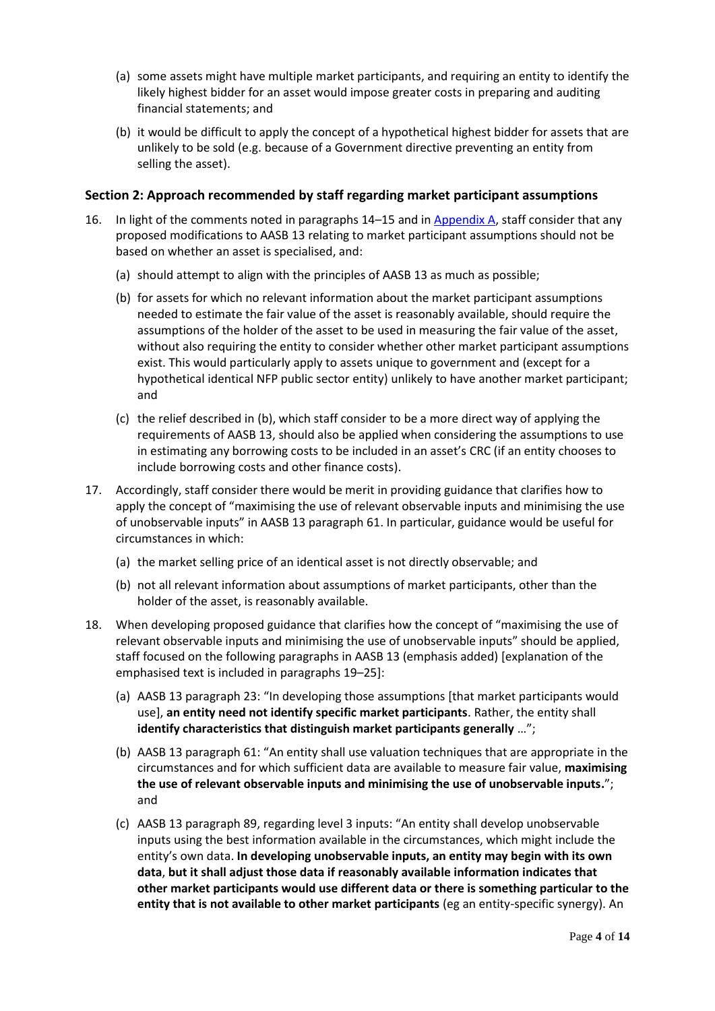- (a) some assets might have multiple market participants, and requiring an entity to identify the likely highest bidder for an asset would impose greater costs in preparing and auditing financial statements; and
- (b) it would be difficult to apply the concept of a hypothetical highest bidder for assets that are unlikely to be sold (e.g. because of a Government directive preventing an entity from selling the asset).

### **Section 2: Approach recommended by staff regarding market participant assumptions**

- <span id="page-3-0"></span>16. In light of the comments noted in paragraphs [14](#page-2-1)–[15](#page-2-2) and i[n Appendix A,](#page-8-2) staff consider that any proposed modifications to AASB 13 relating to market participant assumptions should not be based on whether an asset is specialised, and:
	- (a) should attempt to align with the principles of AASB 13 as much as possible;
	- (b) for assets for which no relevant information about the market participant assumptions needed to estimate the fair value of the asset is reasonably available, should require the assumptions of the holder of the asset to be used in measuring the fair value of the asset, without also requiring the entity to consider whether other market participant assumptions exist. This would particularly apply to assets unique to government and (except for a hypothetical identical NFP public sector entity) unlikely to have another market participant; and
	- (c) the relief described i[n \(b\),](#page-3-0) which staff consider to be a more direct way of applying the requirements of AASB 13, should also be applied when considering the assumptions to use in estimating any borrowing costs to be included in an asset's CRC (if an entity chooses to include borrowing costs and other finance costs).
- 17. Accordingly, staff consider there would be merit in providing guidance that clarifies how to apply the concept of "maximising the use of relevant observable inputs and minimising the use of unobservable inputs" in AASB 13 paragraph 61. In particular, guidance would be useful for circumstances in which:
	- (a) the market selling price of an identical asset is not directly observable; and
	- (b) not all relevant information about assumptions of market participants, other than the holder of the asset, is reasonably available.
- <span id="page-3-1"></span>18. When developing proposed guidance that clarifies how the concept of "maximising the use of relevant observable inputs and minimising the use of unobservable inputs" should be applied, staff focused on the following paragraphs in AASB 13 (emphasis added) [explanation of the emphasised text is included in paragraphs [19](#page-4-0)–[25\]](#page-5-0):
	- (a) AASB 13 paragraph 23: "In developing those assumptions [that market participants would use], **an entity need not identify specific market participants**. Rather, the entity shall **identify characteristics that distinguish market participants generally** …";
	- (b) AASB 13 paragraph 61: "An entity shall use valuation techniques that are appropriate in the circumstances and for which sufficient data are available to measure fair value, **maximising the use of relevant observable inputs and minimising the use of unobservable inputs.**"; and
	- (c) AASB 13 paragraph 89, regarding level 3 inputs: "An entity shall develop unobservable inputs using the best information available in the circumstances, which might include the entity's own data. **In developing unobservable inputs, an entity may begin with its own data**, **but it shall adjust those data if reasonably available information indicates that other market participants would use different data or there is something particular to the entity that is not available to other market participants** (eg an entity-specific synergy). An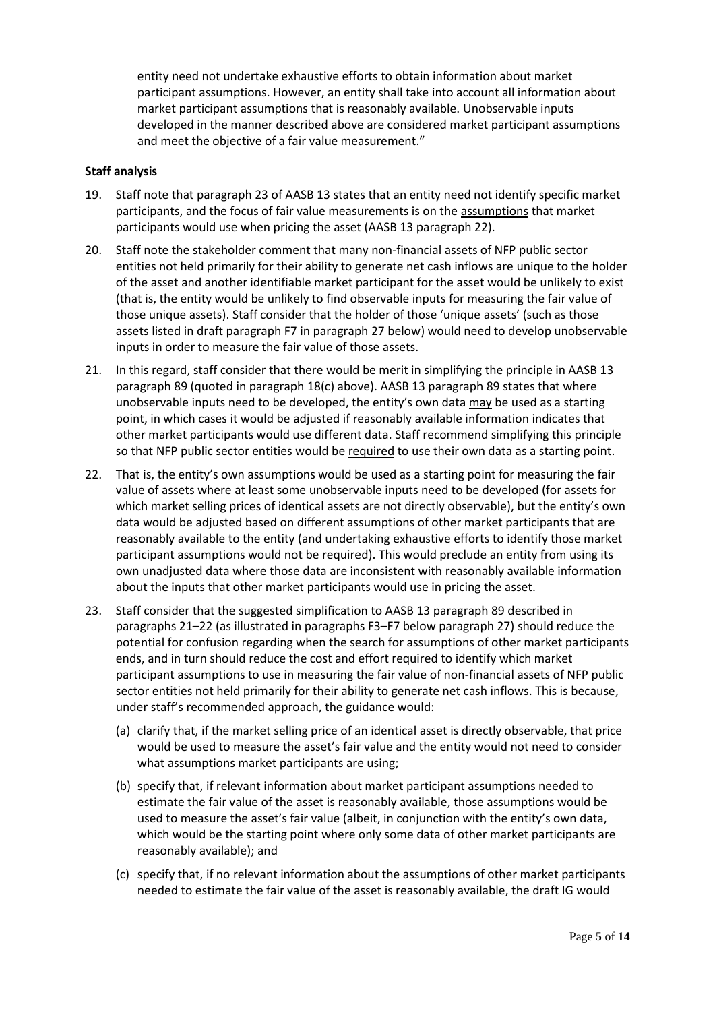entity need not undertake exhaustive efforts to obtain information about market participant assumptions. However, an entity shall take into account all information about market participant assumptions that is reasonably available. Unobservable inputs developed in the manner described above are considered market participant assumptions and meet the objective of a fair value measurement."

### **Staff analysis**

- <span id="page-4-0"></span>19. Staff note that paragraph 23 of AASB 13 states that an entity need not identify specific market participants, and the focus of fair value measurements is on the assumptions that market participants would use when pricing the asset (AASB 13 paragraph 22).
- 20. Staff note the stakeholder comment that many non-financial assets of NFP public sector entities not held primarily for their ability to generate net cash inflows are unique to the holder of the asset and another identifiable market participant for the asset would be unlikely to exist (that is, the entity would be unlikely to find observable inputs for measuring the fair value of those unique assets). Staff consider that the holder of those 'unique assets' (such as those assets listed in draft paragrap[h F7](#page-6-1) in paragraph [27](#page-5-1) below) would need to develop unobservable inputs in order to measure the fair value of those assets.
- <span id="page-4-1"></span>21. In this regard, staff consider that there would be merit in simplifying the principle in AASB 13 paragraph 89 (quoted in paragraph [18\(](#page-3-1)c) above). AASB 13 paragraph 89 states that where unobservable inputs need to be developed, the entity's own data may be used as a starting point, in which cases it would be adjusted if reasonably available information indicates that other market participants would use different data. Staff recommend simplifying this principle so that NFP public sector entities would be required to use their own data as a starting point.
- <span id="page-4-2"></span>22. That is, the entity's own assumptions would be used as a starting point for measuring the fair value of assets where at least some unobservable inputs need to be developed (for assets for which market selling prices of identical assets are not directly observable), but the entity's own data would be adjusted based on different assumptions of other market participants that are reasonably available to the entity (and undertaking exhaustive efforts to identify those market participant assumptions would not be required). This would preclude an entity from using its own unadjusted data where those data are inconsistent with reasonably available information about the inputs that other market participants would use in pricing the asset.
- 23. Staff consider that the suggested simplification to AASB 13 paragraph 89 described in paragraphs [21](#page-4-1)–[22](#page-4-2) (as illustrated in paragraphs [F3](#page-5-2)–[F7](#page-6-1) below paragraph [27\)](#page-5-1) should reduce the potential for confusion regarding when the search for assumptions of other market participants ends, and in turn should reduce the cost and effort required to identify which market participant assumptions to use in measuring the fair value of non-financial assets of NFP public sector entities not held primarily for their ability to generate net cash inflows. This is because, under staff's recommended approach, the guidance would:
	- (a) clarify that, if the market selling price of an identical asset is directly observable, that price would be used to measure the asset's fair value and the entity would not need to consider what assumptions market participants are using;
	- (b) specify that, if relevant information about market participant assumptions needed to estimate the fair value of the asset is reasonably available, those assumptions would be used to measure the asset's fair value (albeit, in conjunction with the entity's own data, which would be the starting point where only some data of other market participants are reasonably available); and
	- (c) specify that, if no relevant information about the assumptions of other market participants needed to estimate the fair value of the asset is reasonably available, the draft IG would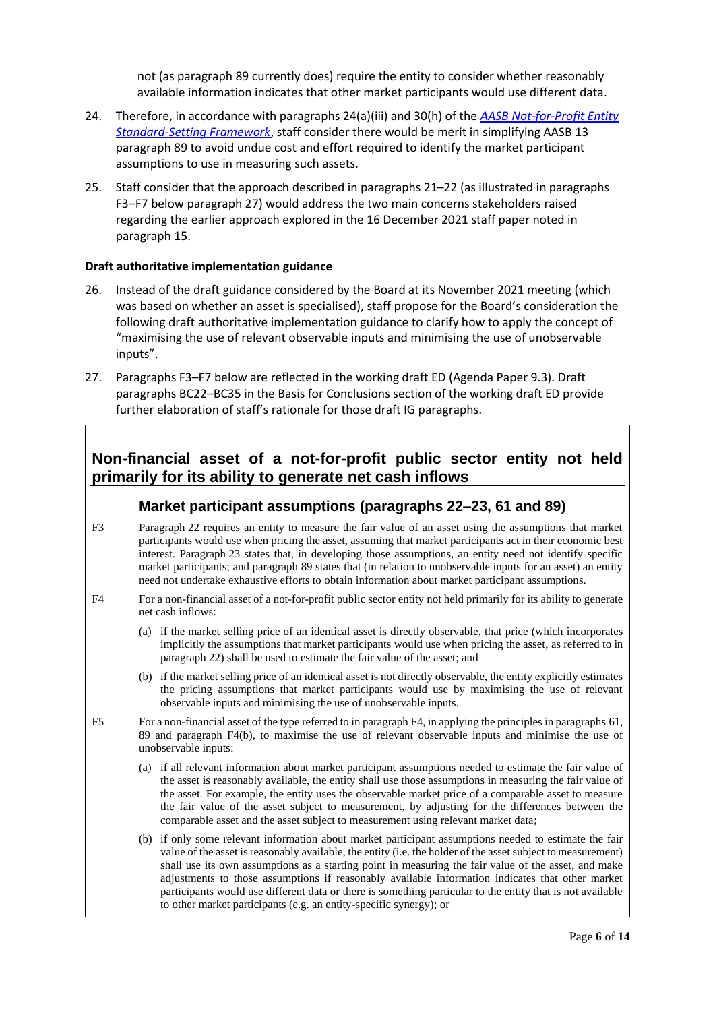not (as paragraph 89 currently does) require the entity to consider whether reasonably available information indicates that other market participants would use different data.

- 24. Therefore, in accordance with paragraphs 24(a)(iii) and 30(h) of the *[AASB Not-for-Profit Entity](https://www.aasb.gov.au/media/mhzotzp4/aasb_nfp_stdsetting_fwk_07-21.pdf)  [Standard-Setting Framework](https://www.aasb.gov.au/media/mhzotzp4/aasb_nfp_stdsetting_fwk_07-21.pdf)*, staff consider there would be merit in simplifying AASB 13 paragraph 89 to avoid undue cost and effort required to identify the market participant assumptions to use in measuring such assets.
- <span id="page-5-0"></span>25. Staff consider that the approach described in paragraphs [21](#page-4-1)–[22](#page-4-2) (as illustrated in paragraphs [F3](#page-5-2)–[F7](#page-6-1) below paragraph [27\)](#page-5-1) would address the two main concerns stakeholders raised regarding the earlier approach explored in the 16 December 2021 staff paper noted in paragraph [15.](#page-2-2)

### **Draft authoritative implementation guidance**

- 26. Instead of the draft guidance considered by the Board at its November 2021 meeting (which was based on whether an asset is specialised), staff propose for the Board's consideration the following draft authoritative implementation guidance to clarify how to apply the concept of "maximising the use of relevant observable inputs and minimising the use of unobservable inputs".
- <span id="page-5-1"></span>27. Paragraphs [F3](#page-5-2)–[F7](#page-6-1) below are reflected in the working draft ED (Agenda Paper 9.3). Draft paragraphs BC22–BC35 in the Basis for Conclusions section of the working draft ED provide further elaboration of staff's rationale for those draft IG paragraphs.

# **Non-financial asset of a not-for-profit public sector entity not held primarily for its ability to generate net cash inflows**

### **Market participant assumptions (paragraphs 22–23, 61 and 89)**

- <span id="page-5-2"></span>F3 Paragraph 22 requires an entity to measure the fair value of an asset using the assumptions that market participants would use when pricing the asset, assuming that market participants act in their economic best interest. Paragraph 23 states that, in developing those assumptions, an entity need not identify specific market participants; and paragraph 89 states that (in relation to unobservable inputs for an asset) an entity need not undertake exhaustive efforts to obtain information about market participant assumptions.
- <span id="page-5-3"></span>F4 For a non-financial asset of a not-for-profit public sector entity not held primarily for its ability to generate net cash inflows:
	- (a) if the market selling price of an identical asset is directly observable, that price (which incorporates implicitly the assumptions that market participants would use when pricing the asset, as referred to in paragraph 22) shall be used to estimate the fair value of the asset; and
	- (b) if the market selling price of an identical asset is not directly observable, the entity explicitly estimates the pricing assumptions that market participants would use by maximising the use of relevant observable inputs and minimising the use of unobservable inputs.
- <span id="page-5-4"></span>F5 For a non-financial asset of the type referred to in paragrap[h F4,](#page-5-3) in applying the principles in paragraphs 61, 89 and paragraph [F4\(](#page-5-3)b), to maximise the use of relevant observable inputs and minimise the use of unobservable inputs:
	- (a) if all relevant information about market participant assumptions needed to estimate the fair value of the asset is reasonably available, the entity shall use those assumptions in measuring the fair value of the asset. For example, the entity uses the observable market price of a comparable asset to measure the fair value of the asset subject to measurement, by adjusting for the differences between the comparable asset and the asset subject to measurement using relevant market data;
	- (b) if only some relevant information about market participant assumptions needed to estimate the fair value of the asset is reasonably available, the entity (i.e. the holder of the asset subject to measurement) shall use its own assumptions as a starting point in measuring the fair value of the asset, and make adjustments to those assumptions if reasonably available information indicates that other market participants would use different data or there is something particular to the entity that is not available to other market participants (e.g. an entity-specific synergy); or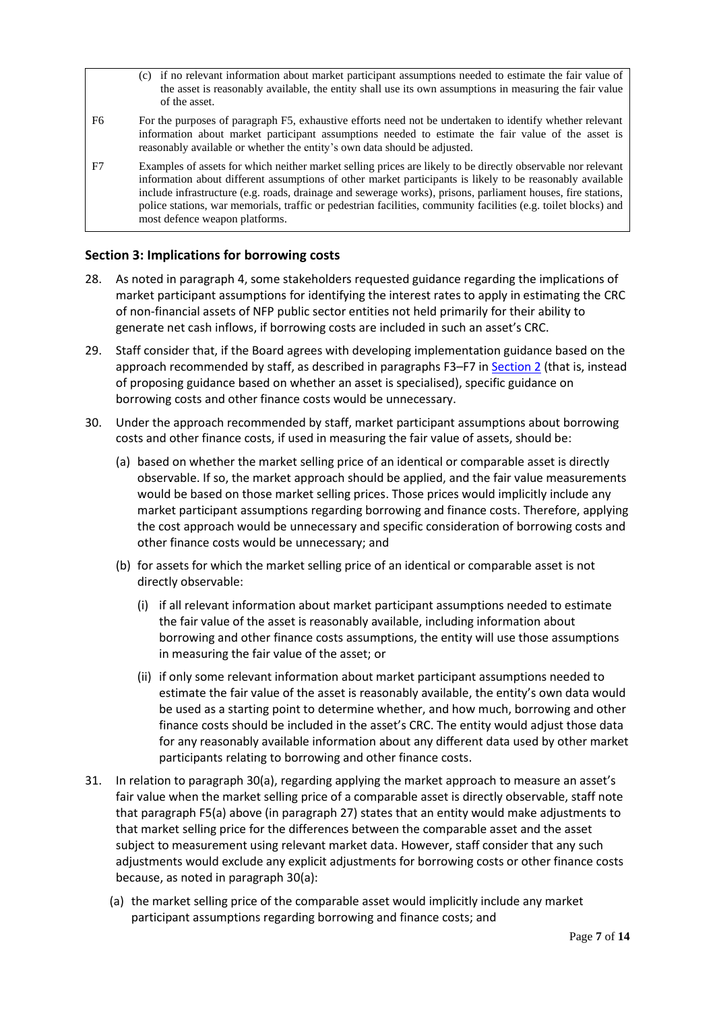- (c) if no relevant information about market participant assumptions needed to estimate the fair value of the asset is reasonably available, the entity shall use its own assumptions in measuring the fair value of the asset.
- F6 For the purposes of paragraph [F5,](#page-5-4) exhaustive efforts need not be undertaken to identify whether relevant information about market participant assumptions needed to estimate the fair value of the asset is reasonably available or whether the entity's own data should be adjusted.
- <span id="page-6-1"></span>F7 Examples of assets for which neither market selling prices are likely to be directly observable nor relevant information about different assumptions of other market participants is likely to be reasonably available include infrastructure (e.g. roads, drainage and sewerage works), prisons, parliament houses, fire stations, police stations, war memorials, traffic or pedestrian facilities, community facilities (e.g. toilet blocks) and most defence weapon platforms.

### <span id="page-6-0"></span>**Section 3: Implications for borrowing costs**

- 28. As noted in paragraph [4,](#page-1-0) some stakeholders requested guidance regarding the implications of market participant assumptions for identifying the interest rates to apply in estimating the CRC of non-financial assets of NFP public sector entities not held primarily for their ability to generate net cash inflows, if borrowing costs are included in such an asset's CRC.
- 29. Staff consider that, if the Board agrees with developing implementation guidance based on the approach recommended by staff, as described in paragraph[s F3](#page-5-2)–[F7](#page-6-1) in Section 2 (that is, instead of proposing guidance based on whether an asset is specialised), specific guidance on borrowing costs and other finance costs would be unnecessary.
- <span id="page-6-2"></span>30. Under the approach recommended by staff, market participant assumptions about borrowing costs and other finance costs, if used in measuring the fair value of assets, should be:
	- (a) based on whether the market selling price of an identical or comparable asset is directly observable. If so, the market approach should be applied, and the fair value measurements would be based on those market selling prices. Those prices would implicitly include any market participant assumptions regarding borrowing and finance costs. Therefore, applying the cost approach would be unnecessary and specific consideration of borrowing costs and other finance costs would be unnecessary; and
	- (b) for assets for which the market selling price of an identical or comparable asset is not directly observable:
		- (i) if all relevant information about market participant assumptions needed to estimate the fair value of the asset is reasonably available, including information about borrowing and other finance costs assumptions, the entity will use those assumptions in measuring the fair value of the asset; or
		- (ii) if only some relevant information about market participant assumptions needed to estimate the fair value of the asset is reasonably available, the entity's own data would be used as a starting point to determine whether, and how much, borrowing and other finance costs should be included in the asset's CRC. The entity would adjust those data for any reasonably available information about any different data used by other market participants relating to borrowing and other finance costs.
- 31. In relation to paragraph [30\(](#page-6-2)a), regarding applying the market approach to measure an asset's fair value when the market selling price of a comparable asset is directly observable, staff note that paragraph [F5\(](#page-5-4)a) above (in paragraph [27\)](#page-5-1) states that an entity would make adjustments to that market selling price for the differences between the comparable asset and the asset subject to measurement using relevant market data. However, staff consider that any such adjustments would exclude any explicit adjustments for borrowing costs or other finance costs because, as noted in paragraph [30\(](#page-6-2)a):
	- (a) the market selling price of the comparable asset would implicitly include any market participant assumptions regarding borrowing and finance costs; and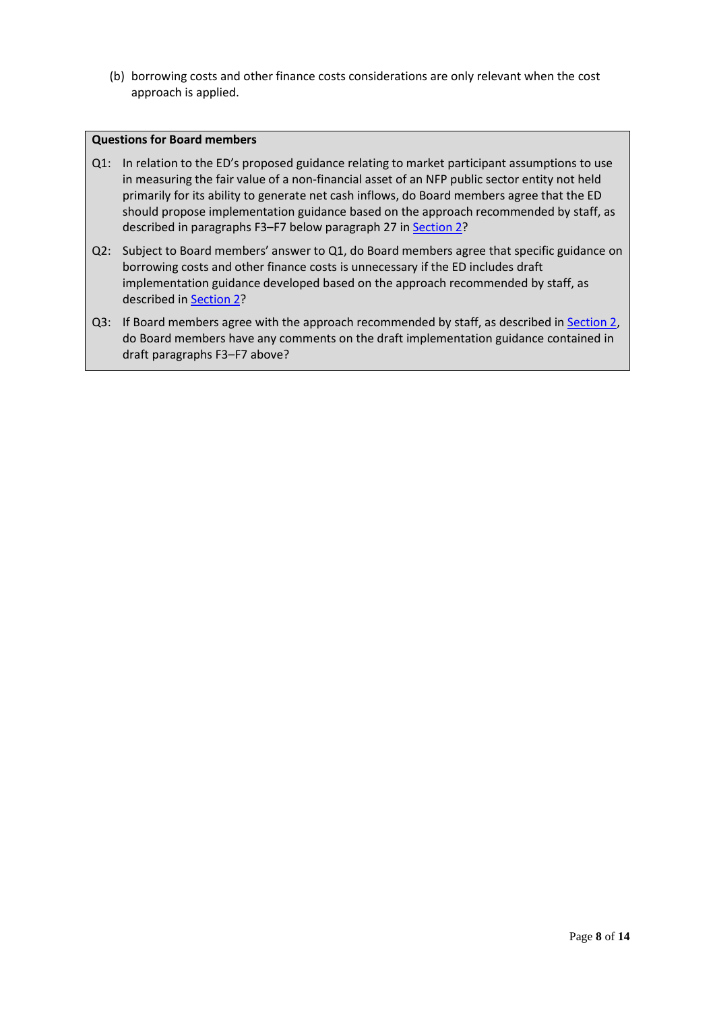(b) borrowing costs and other finance costs considerations are only relevant when the cost approach is applied.

### **Questions for Board members**

- Q1: In relation to the ED's proposed guidance relating to market participant assumptions to use in measuring the fair value of a non-financial asset of an NFP public sector entity not held primarily for its ability to generate net cash inflows, do Board members agree that the ED should propose implementation guidance based on the approach recommended by staff, as described in paragraph[s F3](#page-5-2)-[F7](#page-6-1) below paragraph [27](#page-5-1) in Section 2?
- Q2: Subject to Board members' answer to Q1, do Board members agree that specific guidance on borrowing costs and other finance costs is unnecessary if the ED includes draft implementation guidance developed based on the approach recommended by staff, as described in Section 2?
- Q3: If Board members agree with the approach recommended by staff, as described in Section 2, do Board members have any comments on the draft implementation guidance contained in draft paragraphs [F3](#page-5-2)–[F7](#page-6-1) above?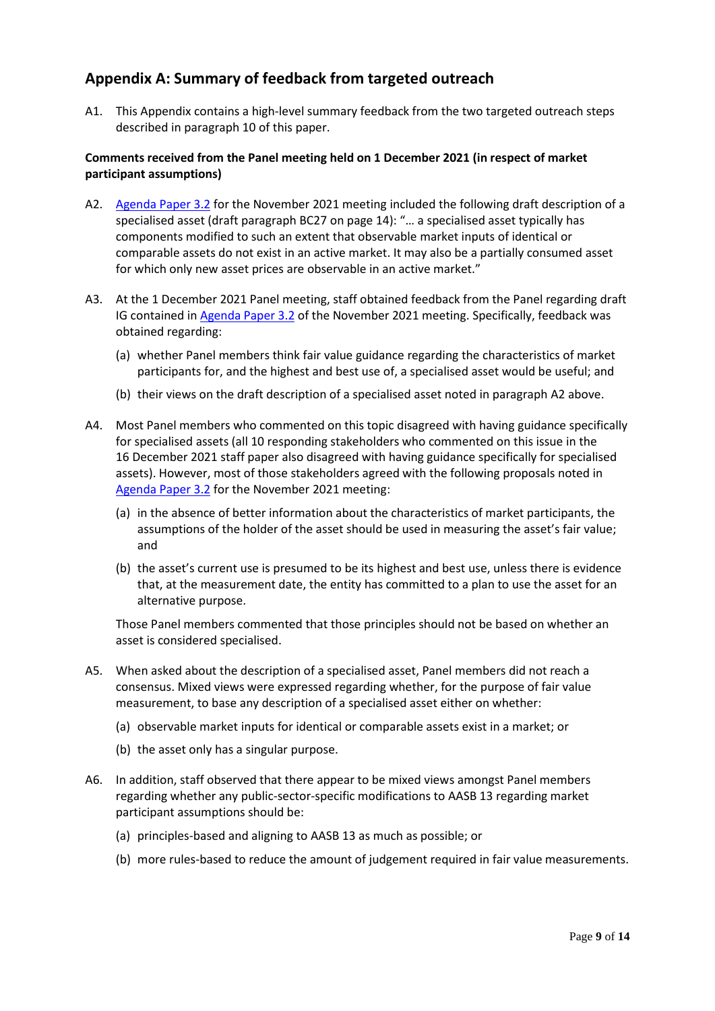# <span id="page-8-2"></span>**Appendix A: Summary of feedback from targeted outreach**

A1. This Appendix contains a high-level summary feedback from the two targeted outreach steps described in paragraph [10](#page-2-3) of this paper.

### **Comments received from the Panel meeting held on 1 December 2021 (in respect of market participant assumptions)**

- <span id="page-8-3"></span>A2. [Agenda Paper 3.2](https://www.aasb.gov.au/media/nqnck1vl/3-2_sp_fvm_draftmodifications_pp.pdf) for the November 2021 meeting included the following draft description of a specialised asset (draft paragraph BC27 on page 14): "… a specialised asset typically has components modified to such an extent that observable market inputs of identical or comparable assets do not exist in an active market. It may also be a partially consumed asset for which only new asset prices are observable in an active market."
- A3. At the 1 December 2021 Panel meeting, staff obtained feedback from the Panel regarding draft IG contained i[n Agenda Paper 3.2](https://www.aasb.gov.au/media/nqnck1vl/3-2_sp_fvm_draftmodifications_pp.pdf) of the November 2021 meeting. Specifically, feedback was obtained regarding:
	- (a) whether Panel members think fair value guidance regarding the characteristics of market participants for, and the highest and best use of, a specialised asset would be useful; and
	- (b) their views on the draft description of a specialised asset noted in paragraph [A2](#page-8-3) above.
- <span id="page-8-0"></span>A4. Most Panel members who commented on this topic disagreed with having guidance specifically for specialised assets (all 10 responding stakeholders who commented on this issue in the 16 December 2021 staff paper also disagreed with having guidance specifically for specialised assets). However, most of those stakeholders agreed with the following proposals noted in [Agenda Paper 3.2](https://www.aasb.gov.au/media/nqnck1vl/3-2_sp_fvm_draftmodifications_pp.pdf) for the November 2021 meeting:
	- (a) in the absence of better information about the characteristics of market participants, the assumptions of the holder of the asset should be used in measuring the asset's fair value; and
	- (b) the asset's current use is presumed to be its highest and best use, unless there is evidence that, at the measurement date, the entity has committed to a plan to use the asset for an alternative purpose.

Those Panel members commented that those principles should not be based on whether an asset is considered specialised.

- A5. When asked about the description of a specialised asset, Panel members did not reach a consensus. Mixed views were expressed regarding whether, for the purpose of fair value measurement, to base any description of a specialised asset either on whether:
	- (a) observable market inputs for identical or comparable assets exist in a market; or
	- (b) the asset only has a singular purpose.
- <span id="page-8-1"></span>A6. In addition, staff observed that there appear to be mixed views amongst Panel members regarding whether any public-sector-specific modifications to AASB 13 regarding market participant assumptions should be:
	- (a) principles-based and aligning to AASB 13 as much as possible; or
	- (b) more rules-based to reduce the amount of judgement required in fair value measurements.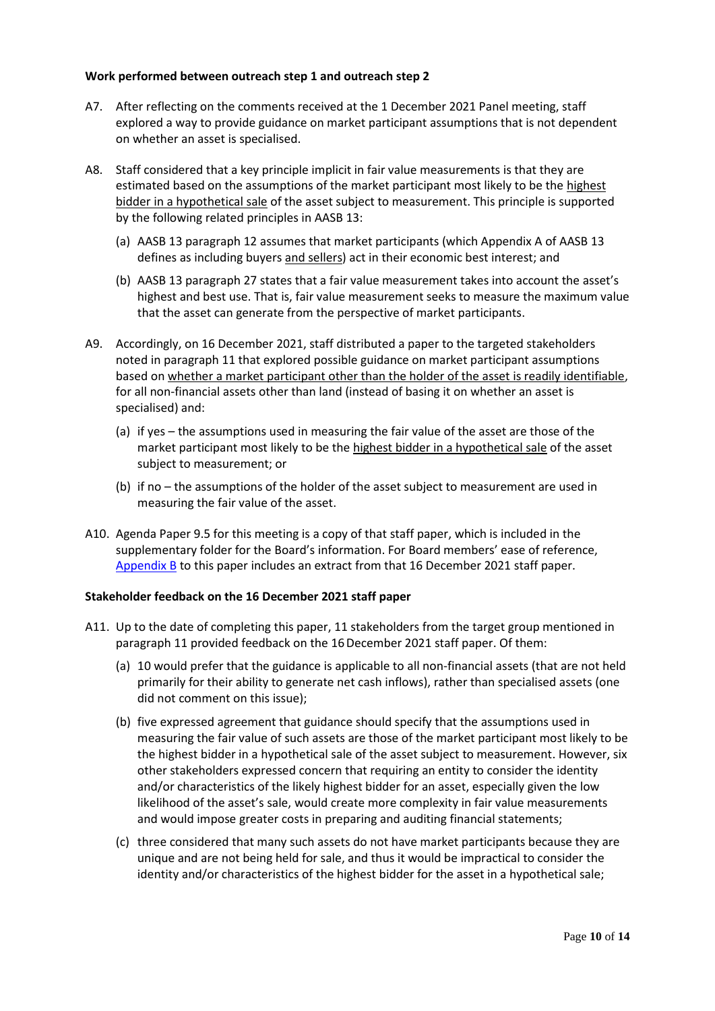### **Work performed between outreach step 1 and outreach step 2**

- A7. After reflecting on the comments received at the 1 December 2021 Panel meeting, staff explored a way to provide guidance on market participant assumptions that is not dependent on whether an asset is specialised.
- A8. Staff considered that a key principle implicit in fair value measurements is that they are estimated based on the assumptions of the market participant most likely to be the highest bidder in a hypothetical sale of the asset subject to measurement. This principle is supported by the following related principles in AASB 13:
	- (a) AASB 13 paragraph 12 assumes that market participants (which Appendix A of AASB 13 defines as including buyers and sellers) act in their economic best interest; and
	- (b) AASB 13 paragraph 27 states that a fair value measurement takes into account the asset's highest and best use. That is, fair value measurement seeks to measure the maximum value that the asset can generate from the perspective of market participants.
- A9. Accordingly, on 16 December 2021, staff distributed a paper to the targeted stakeholders noted in paragrap[h 11](#page-2-4) that explored possible guidance on market participant assumptions based on whether a market participant other than the holder of the asset is readily identifiable, for all non-financial assets other than land (instead of basing it on whether an asset is specialised) and:
	- (a) if yes the assumptions used in measuring the fair value of the asset are those of the market participant most likely to be the highest bidder in a hypothetical sale of the asset subject to measurement; or
	- (b) if no the assumptions of the holder of the asset subject to measurement are used in measuring the fair value of the asset.
- A10. Agenda Paper 9.5 for this meeting is a copy of that staff paper, which is included in the supplementary folder for the Board's information. For Board members' ease of reference, [Appendix](#page-11-0) B to this paper includes an extract from that 16 December 2021 staff paper.

### **Stakeholder feedback on the 16 December 2021 staff paper**

- A11. Up to the date of completing this paper, 11 stakeholders from the target group mentioned in paragraph [11](#page-2-4) provided feedback on the 16December 2021 staff paper. Of them:
	- (a) 10 would prefer that the guidance is applicable to all non-financial assets (that are not held primarily for their ability to generate net cash inflows), rather than specialised assets (one did not comment on this issue);
	- (b) five expressed agreement that guidance should specify that the assumptions used in measuring the fair value of such assets are those of the market participant most likely to be the highest bidder in a hypothetical sale of the asset subject to measurement. However, six other stakeholders expressed concern that requiring an entity to consider the identity and/or characteristics of the likely highest bidder for an asset, especially given the low likelihood of the asset's sale, would create more complexity in fair value measurements and would impose greater costs in preparing and auditing financial statements;
	- (c) three considered that many such assets do not have market participants because they are unique and are not being held for sale, and thus it would be impractical to consider the identity and/or characteristics of the highest bidder for the asset in a hypothetical sale;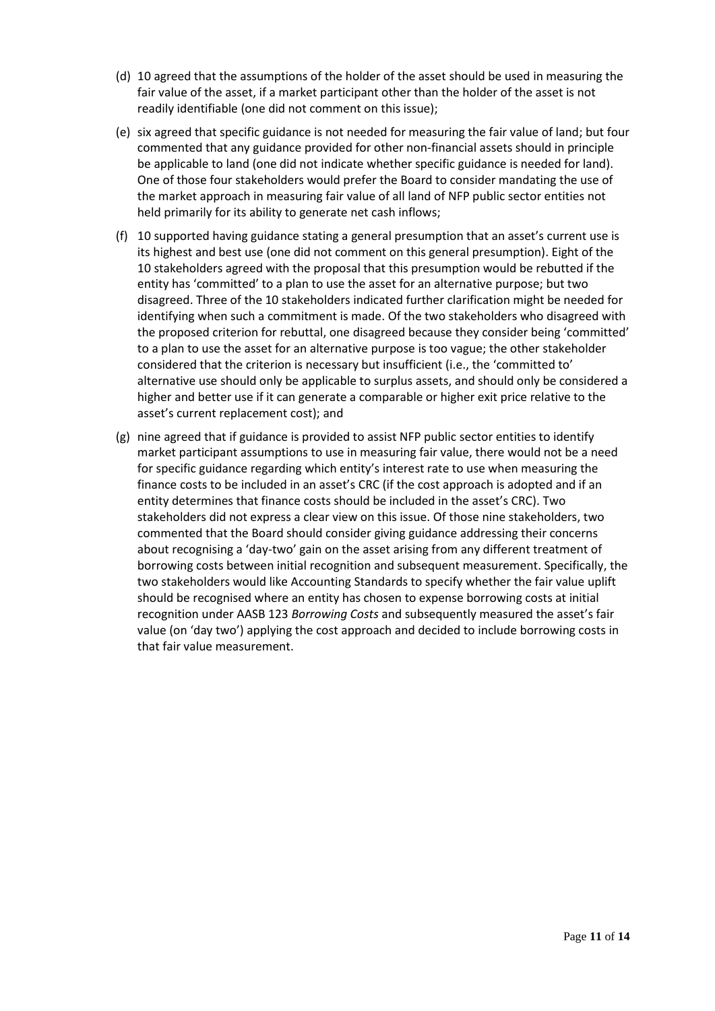- (d) 10 agreed that the assumptions of the holder of the asset should be used in measuring the fair value of the asset, if a market participant other than the holder of the asset is not readily identifiable (one did not comment on this issue);
- (e) six agreed that specific guidance is not needed for measuring the fair value of land; but four commented that any guidance provided for other non-financial assets should in principle be applicable to land (one did not indicate whether specific guidance is needed for land). One of those four stakeholders would prefer the Board to consider mandating the use of the market approach in measuring fair value of all land of NFP public sector entities not held primarily for its ability to generate net cash inflows;
- (f) 10 supported having guidance stating a general presumption that an asset's current use is its highest and best use (one did not comment on this general presumption). Eight of the 10 stakeholders agreed with the proposal that this presumption would be rebutted if the entity has 'committed' to a plan to use the asset for an alternative purpose; but two disagreed. Three of the 10 stakeholders indicated further clarification might be needed for identifying when such a commitment is made. Of the two stakeholders who disagreed with the proposed criterion for rebuttal, one disagreed because they consider being 'committed' to a plan to use the asset for an alternative purpose is too vague; the other stakeholder considered that the criterion is necessary but insufficient (i.e., the 'committed to' alternative use should only be applicable to surplus assets, and should only be considered a higher and better use if it can generate a comparable or higher exit price relative to the asset's current replacement cost); and
- (g) nine agreed that if guidance is provided to assist NFP public sector entities to identify market participant assumptions to use in measuring fair value, there would not be a need for specific guidance regarding which entity's interest rate to use when measuring the finance costs to be included in an asset's CRC (if the cost approach is adopted and if an entity determines that finance costs should be included in the asset's CRC). Two stakeholders did not express a clear view on this issue. Of those nine stakeholders, two commented that the Board should consider giving guidance addressing their concerns about recognising a 'day-two' gain on the asset arising from any different treatment of borrowing costs between initial recognition and subsequent measurement. Specifically, the two stakeholders would like Accounting Standards to specify whether the fair value uplift should be recognised where an entity has chosen to expense borrowing costs at initial recognition under AASB 123 *Borrowing Costs* and subsequently measured the asset's fair value (on 'day two') applying the cost approach and decided to include borrowing costs in that fair value measurement.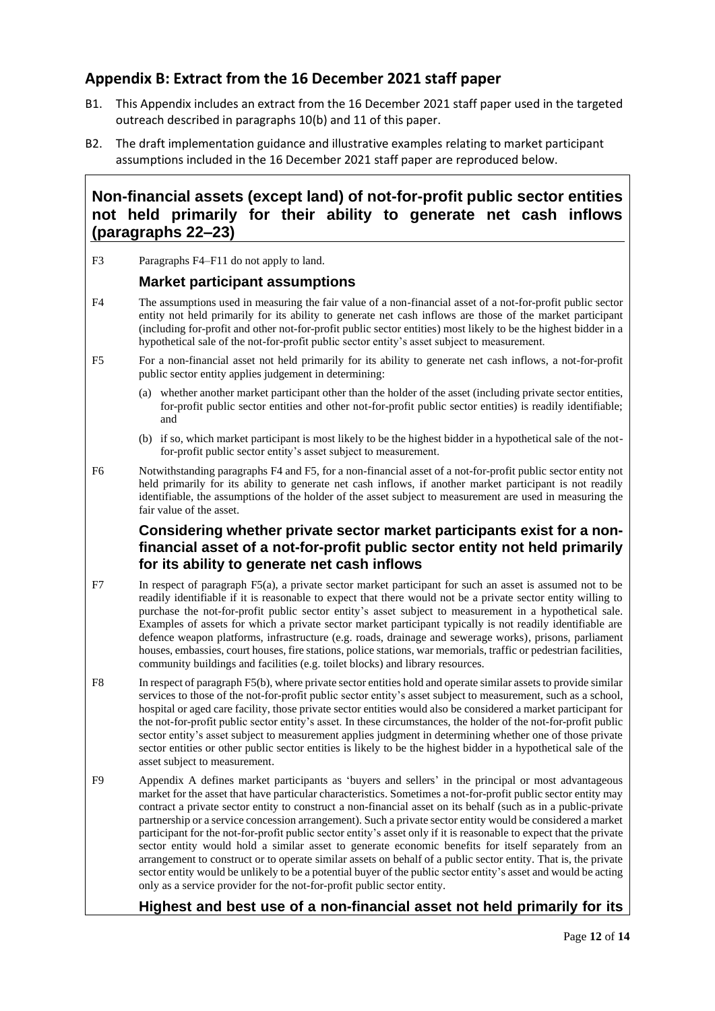# <span id="page-11-0"></span>**Appendix B: Extract from the 16 December 2021 staff paper**

- B1. This Appendix includes an extract from the 16 December 2021 staff paper used in the targeted outreach described in paragraphs [10\(](#page-2-3)b) and [11](#page-2-4) of this paper.
- B2. The draft implementation guidance and illustrative examples relating to market participant assumptions included in the 16 December 2021 staff paper are reproduced below.

# **Non-financial assets (except land) of not-for-profit public sector entities not held primarily for their ability to generate net cash inflows (paragraphs 22–23)**

F3 Paragraphs F4–F11 do not apply to land.

## **Market participant assumptions**

- <span id="page-11-1"></span>F4 The assumptions used in measuring the fair value of a non-financial asset of a not-for-profit public sector entity not held primarily for its ability to generate net cash inflows are those of the market participant (including for-profit and other not-for-profit public sector entities) most likely to be the highest bidder in a hypothetical sale of the not-for-profit public sector entity's asset subject to measurement.
- <span id="page-11-2"></span>F5 For a non-financial asset not held primarily for its ability to generate net cash inflows, a not-for-profit public sector entity applies judgement in determining:
	- (a) whether another market participant other than the holder of the asset (including private sector entities, for-profit public sector entities and other not-for-profit public sector entities) is readily identifiable; and
	- (b) if so, which market participant is most likely to be the highest bidder in a hypothetical sale of the notfor-profit public sector entity's asset subject to measurement.
- F6 Notwithstanding paragraphs [F4](#page-11-1) an[d F5,](#page-11-2) for a non-financial asset of a not-for-profit public sector entity not held primarily for its ability to generate net cash inflows, if another market participant is not readily identifiable, the assumptions of the holder of the asset subject to measurement are used in measuring the fair value of the asset.

# **Considering whether private sector market participants exist for a nonfinancial asset of a not-for-profit public sector entity not held primarily for its ability to generate net cash inflows**

- F7 In respect of paragraph [F5\(](#page-11-2)a), a private sector market participant for such an asset is assumed not to be readily identifiable if it is reasonable to expect that there would not be a private sector entity willing to purchase the not-for-profit public sector entity's asset subject to measurement in a hypothetical sale. Examples of assets for which a private sector market participant typically is not readily identifiable are defence weapon platforms, infrastructure (e.g. roads, drainage and sewerage works), prisons, parliament houses, embassies, court houses, fire stations, police stations, war memorials, traffic or pedestrian facilities, community buildings and facilities (e.g. toilet blocks) and library resources.
- F8 In respect of paragrap[h F5\(](#page-11-2)b), where private sector entities hold and operate similar assets to provide similar services to those of the not-for-profit public sector entity's asset subject to measurement, such as a school, hospital or aged care facility, those private sector entities would also be considered a market participant for the not-for-profit public sector entity's asset. In these circumstances, the holder of the not-for-profit public sector entity's asset subject to measurement applies judgment in determining whether one of those private sector entities or other public sector entities is likely to be the highest bidder in a hypothetical sale of the asset subject to measurement.
- F9 Appendix A defines market participants as 'buyers and sellers' in the principal or most advantageous market for the asset that have particular characteristics. Sometimes a not-for-profit public sector entity may contract a private sector entity to construct a non-financial asset on its behalf (such as in a public-private partnership or a service concession arrangement). Such a private sector entity would be considered a market participant for the not-for-profit public sector entity's asset only if it is reasonable to expect that the private sector entity would hold a similar asset to generate economic benefits for itself separately from an arrangement to construct or to operate similar assets on behalf of a public sector entity. That is, the private sector entity would be unlikely to be a potential buyer of the public sector entity's asset and would be acting only as a service provider for the not-for-profit public sector entity.

### **Highest and best use of a non-financial asset not held primarily for its**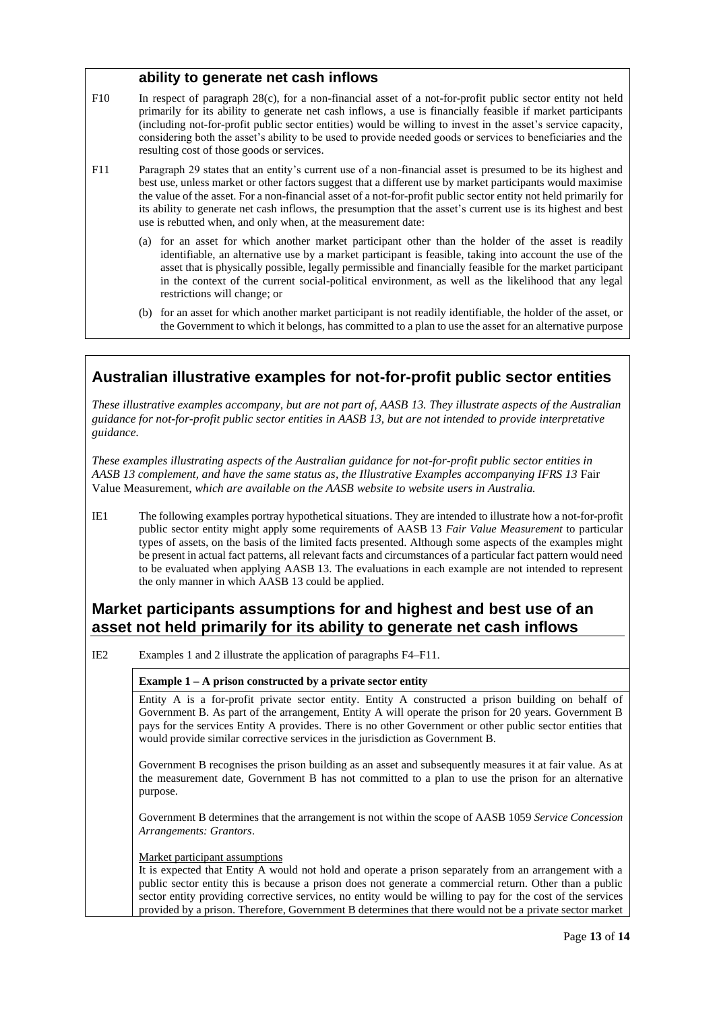### **ability to generate net cash inflows**

- <span id="page-12-0"></span>F10 In respect of paragraph 28(c), for a non-financial asset of a not-for-profit public sector entity not held primarily for its ability to generate net cash inflows, a use is financially feasible if market participants (including not-for-profit public sector entities) would be willing to invest in the asset's service capacity, considering both the asset's ability to be used to provide needed goods or services to beneficiaries and the resulting cost of those goods or services.
- F11 Paragraph 29 states that an entity's current use of a non-financial asset is presumed to be its highest and best use, unless market or other factors suggest that a different use by market participants would maximise the value of the asset. For a non-financial asset of a not-for-profit public sector entity not held primarily for its ability to generate net cash inflows, the presumption that the asset's current use is its highest and best use is rebutted when, and only when, at the measurement date:
	- (a) for an asset for which another market participant other than the holder of the asset is readily identifiable, an alternative use by a market participant is feasible, taking into account the use of the asset that is physically possible, legally permissible and financially feasible for the market participant in the context of the current social-political environment, as well as the likelihood that any legal restrictions will change; or
	- (b) for an asset for which another market participant is not readily identifiable, the holder of the asset, or the Government to which it belongs, has committed to a plan to use the asset for an alternative purpose

# **Australian illustrative examples for not-for-profit public sector entities**

*These illustrative examples accompany, but are not part of, AASB 13. They illustrate aspects of the Australian guidance for not-for-profit public sector entities in AASB 13, but are not intended to provide interpretative guidance.*

*These examples illustrating aspects of the Australian guidance for not-for-profit public sector entities in AASB 13 complement, and have the same status as, the Illustrative Examples accompanying IFRS 13* Fair Value Measurement*, which are available on the AASB website to website users in Australia.*

IE1 The following examples portray hypothetical situations. They are intended to illustrate how a not-for-profit public sector entity might apply some requirements of AASB 13 *Fair Value Measurement* to particular types of assets, on the basis of the limited facts presented. Although some aspects of the examples might be present in actual fact patterns, all relevant facts and circumstances of a particular fact pattern would need to be evaluated when applying AASB 13. The evaluations in each example are not intended to represent the only manner in which AASB 13 could be applied.

# **Market participants assumptions for and highest and best use of an asset not held primarily for its ability to generate net cash inflows**

IE2 Examples 1 and 2 illustrate the application of paragraphs F4–F11.

### **Example 1 – A prison constructed by a private sector entity**

Entity A is a for-profit private sector entity. Entity A constructed a prison building on behalf of Government B. As part of the arrangement, Entity A will operate the prison for 20 years. Government B pays for the services Entity A provides. There is no other Government or other public sector entities that would provide similar corrective services in the jurisdiction as Government B.

Government B recognises the prison building as an asset and subsequently measures it at fair value. As at the measurement date, Government B has not committed to a plan to use the prison for an alternative purpose.

Government B determines that the arrangement is not within the scope of AASB 1059 *Service Concession Arrangements: Grantors*.

#### Market participant assumptions

It is expected that Entity A would not hold and operate a prison separately from an arrangement with a public sector entity this is because a prison does not generate a commercial return. Other than a public sector entity providing corrective services, no entity would be willing to pay for the cost of the services provided by a prison. Therefore, Government B determines that there would not be a private sector market